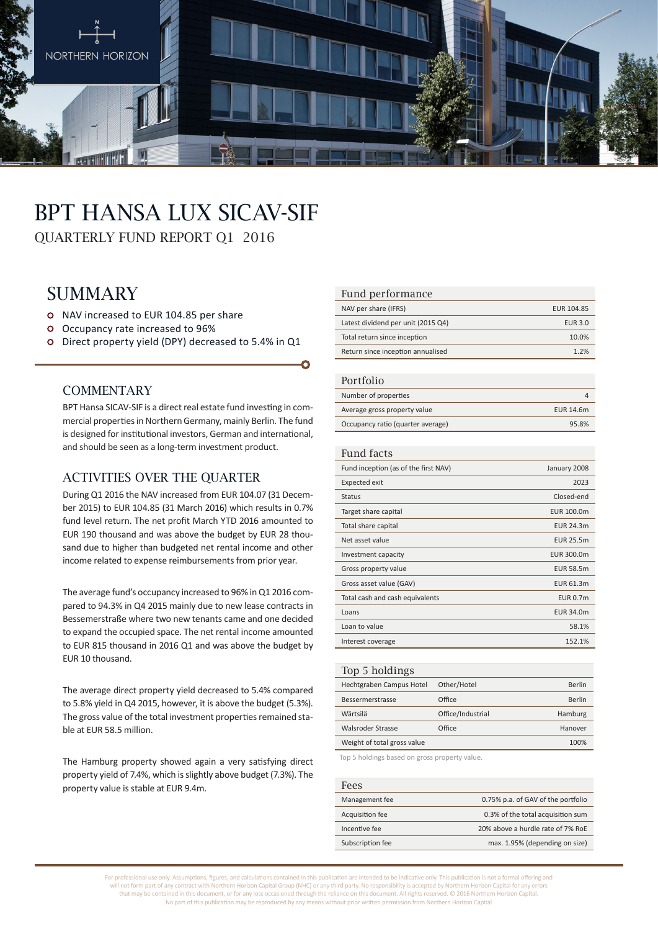

# BPT Hansa Lux SICAV-SIF

QUARTERLY FUND REPORT Q1 2016

# **SUMMARY**

- o NAV increased to EUR 104.85 per share
- Occupancy rate increased to 96%
- Direct property yield (DPY) decreased to 5.4% in Q1

#### **COMMENTARY**

BPT Hansa SICAV-SIF is a direct real estate fund investing in commercial properties in Northern Germany, mainly Berlin. The fund is designed for institutional investors, German and international, and should be seen as a long-term investment product.

#### ACTIVITIES OVER THE OUARTER

During Q1 2016 the NAV increased from EUR 104.07 (31 December 2015) to EUR 104.85 (31 March 2016) which results in 0.7% fund level return. The net profit March YTD 2016 amounted to EUR 190 thousand and was above the budget by EUR 28 thousand due to higher than budgeted net rental income and other income related to expense reimbursements from prior year.

The average fund's occupancy increased to 96% in Q1 2016 compared to 94.3% in Q4 2015 mainly due to new lease contracts in Bessemerstraße where two new tenants came and one decided to expand the occupied space. The net rental income amounted to EUR 815 thousand in 2016 Q1 and was above the budget by EUR 10 thousand.

The average direct property yield decreased to 5.4% compared to 5.8% yield in Q4 2015, however, it is above the budget (5.3%). The gross value of the total investment properties remained stable at EUR 58.5 million.

The Hamburg property showed again a very satisfying direct property yield of 7.4%, which is slightly above budget (7.3%). The property value is stable at EUR 9.4m.

#### Fund performance

| NAV per share (IFRS)               | EUR 104.85     |
|------------------------------------|----------------|
| Latest dividend per unit (2015 Q4) | <b>EUR 3.0</b> |
| Total return since inception       | 10.0%          |
| Return since inception annualised  | 1.2%           |

#### Portfolio

| T OT LIOITO                       |           |
|-----------------------------------|-----------|
| Number of properties              |           |
| Average gross property value      | EUR 14.6m |
| Occupancy ratio (quarter average) | 95.8%     |

#### Fund facts

| Fund inception (as of the first NAV) | January 2008     |
|--------------------------------------|------------------|
| Expected exit                        | 2023             |
| <b>Status</b>                        | Closed-end       |
| Target share capital                 | EUR 100.0m       |
| Total share capital                  | EUR 24.3m        |
| Net asset value                      | <b>EUR 25.5m</b> |
| Investment capacity                  | EUR 300.0m       |
| Gross property value                 | <b>EUR 58.5m</b> |
| Gross asset value (GAV)              | EUR 61.3m        |
| Total cash and cash equivalents      | <b>EUR 0.7m</b>  |
| Loans                                | <b>EUR 34.0m</b> |
| Loan to value                        | 58.1%            |
| Interest coverage                    | 152.1%           |
|                                      |                  |

#### Top 5 holdings Hechtgraben Campus Hotel Other/Hotel Berlin Bessermerstrasse Office Berlin Wärtsilä Office/Industrial Hamburg Walsroder Strasse **Office Community CONFIDENTIAL EXAMPLE AT A POST HANOVER** Weight of total gross value 100% and 100%

Top 5 holdings based on gross property value.

| Fees             |                                    |
|------------------|------------------------------------|
| Management fee   | 0.75% p.a. of GAV of the portfolio |
| Acquisition fee  | 0.3% of the total acquisition sum  |
| Incentive fee    | 20% above a hurdle rate of 7% RoE  |
| Subscription fee | max. 1.95% (depending on size)     |

For professional use only. Assumptions, figures, and calculations contained in this publication are intended to be indicative only. This publication is not a formal offering and will not form part of any contract with Northern Horizon Capital Group (NHC) or any third party. No responsibility is accepted by Northern Horizon Capital for any errors that may be contained in this document, or for any loss occasioned through the reliance on this document. All rights reserved. © 2016 Northern Horizon Capital. No part of this publication may be reproduced by any means without prior written permission from Northern Horizon Capital